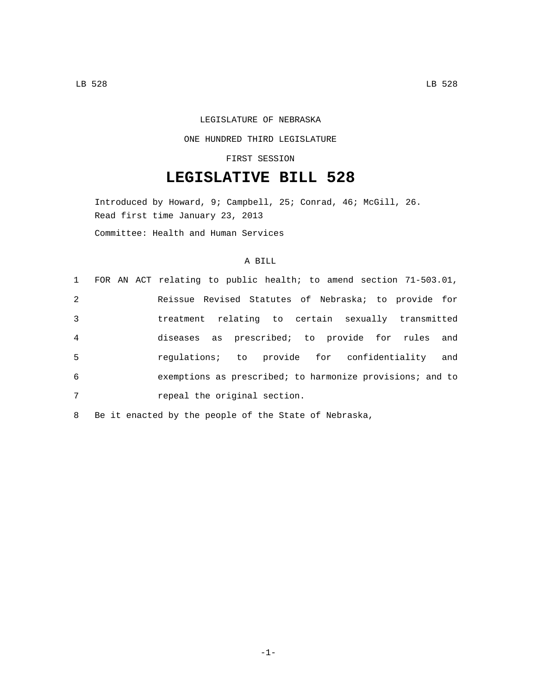### LEGISLATURE OF NEBRASKA

### ONE HUNDRED THIRD LEGISLATURE

## FIRST SESSION

# **LEGISLATIVE BILL 528**

Introduced by Howard, 9; Campbell, 25; Conrad, 46; McGill, 26. Read first time January 23, 2013 Committee: Health and Human Services

# A BILL

|                |  | 1 FOR AN ACT relating to public health; to amend section 71-503.01, |
|----------------|--|---------------------------------------------------------------------|
| 2              |  | Reissue Revised Statutes of Nebraska; to provide for                |
| 3              |  | treatment relating to certain sexually transmitted                  |
| $\overline{4}$ |  | diseases as prescribed; to provide for rules and                    |
| 5              |  | regulations; to provide for confidentiality and                     |
| 6              |  | exemptions as prescribed; to harmonize provisions; and to           |
| 7              |  | repeal the original section.                                        |

8 Be it enacted by the people of the State of Nebraska,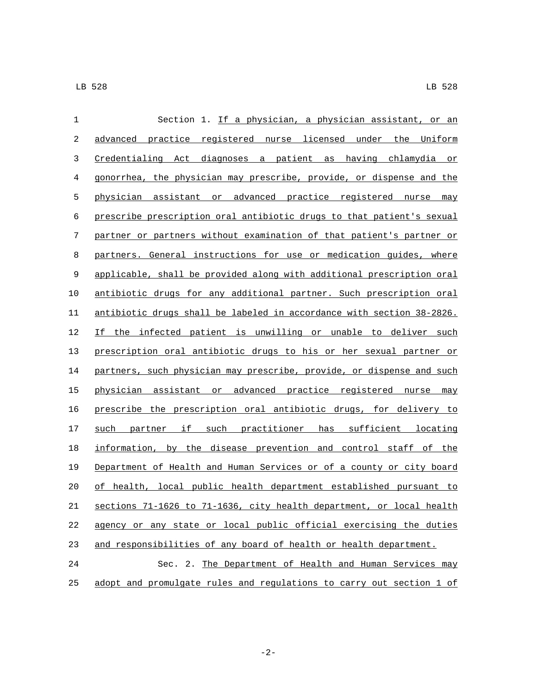| $\mathbf{1}$ | Section 1. If a physician, a physician assistant, or an               |
|--------------|-----------------------------------------------------------------------|
| 2            | advanced practice registered nurse licensed under the Uniform         |
| 3            | Credentialing Act diagnoses a patient as having chlamydia or          |
| 4            | gonorrhea, the physician may prescribe, provide, or dispense and the  |
| 5            | physician assistant or advanced practice registered nurse may         |
| 6            | prescribe prescription oral antibiotic drugs to that patient's sexual |
| 7            | partner or partners without examination of that patient's partner or  |
| 8            | partners. General instructions for use or medication guides, where    |
| 9            | applicable, shall be provided along with additional prescription oral |
| 10           | antibiotic drugs for any additional partner. Such prescription oral   |
| 11           | antibiotic drugs shall be labeled in accordance with section 38-2826. |
| 12           | If the infected patient is unwilling or unable to deliver such        |
| 13           | prescription oral antibiotic drugs to his or her sexual partner or    |
| 14           | partners, such physician may prescribe, provide, or dispense and such |
| 15           | physician assistant or advanced practice registered nurse may         |
| 16           | prescribe the prescription oral antibiotic drugs, for delivery to     |
| 17           | partner if such practitioner has sufficient locating<br>such          |
| 18           | information, by the disease prevention and control staff of the       |
| 19           | Department of Health and Human Services or of a county or city board  |
| 20           | of health, local public health department established pursuant to     |
| 21           | sections 71-1626 to 71-1636, city health department, or local health  |
| 22           | agency or any state or local public official exercising the duties    |
| 23           | and responsibilities of any board of health or health department.     |
| 24           | Sec. 2. The Department of Health and Human Services may               |
| 25           | adopt and promulgate rules and regulations to carry out section 1 of  |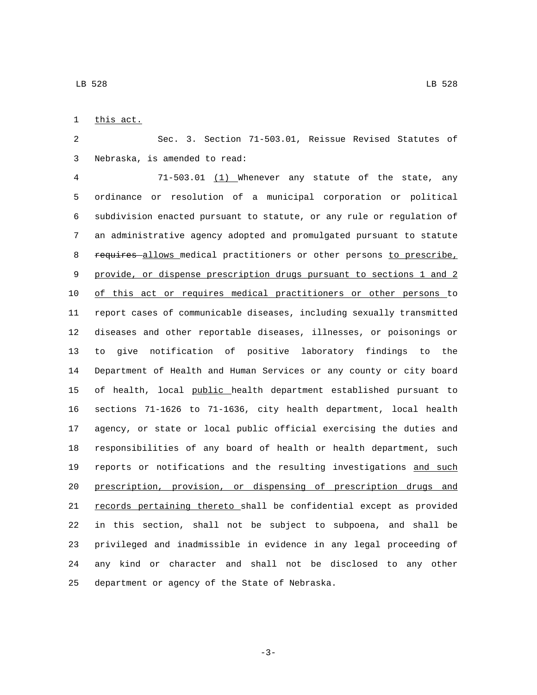1 this act.

 Sec. 3. Section 71-503.01, Reissue Revised Statutes of 3 Nebraska, is amended to read:

 71-503.01 (1) Whenever any statute of the state, any ordinance or resolution of a municipal corporation or political subdivision enacted pursuant to statute, or any rule or regulation of an administrative agency adopted and promulgated pursuant to statute 8 requires allows medical practitioners or other persons to prescribe, provide, or dispense prescription drugs pursuant to sections 1 and 2 of this act or requires medical practitioners or other persons to report cases of communicable diseases, including sexually transmitted diseases and other reportable diseases, illnesses, or poisonings or to give notification of positive laboratory findings to the Department of Health and Human Services or any county or city board 15 of health, local public health department established pursuant to sections 71-1626 to 71-1636, city health department, local health agency, or state or local public official exercising the duties and responsibilities of any board of health or health department, such 19 reports or notifications and the resulting investigations and such prescription, provision, or dispensing of prescription drugs and 21 records pertaining thereto shall be confidential except as provided in this section, shall not be subject to subpoena, and shall be privileged and inadmissible in evidence in any legal proceeding of any kind or character and shall not be disclosed to any other 25 department or agency of the State of Nebraska.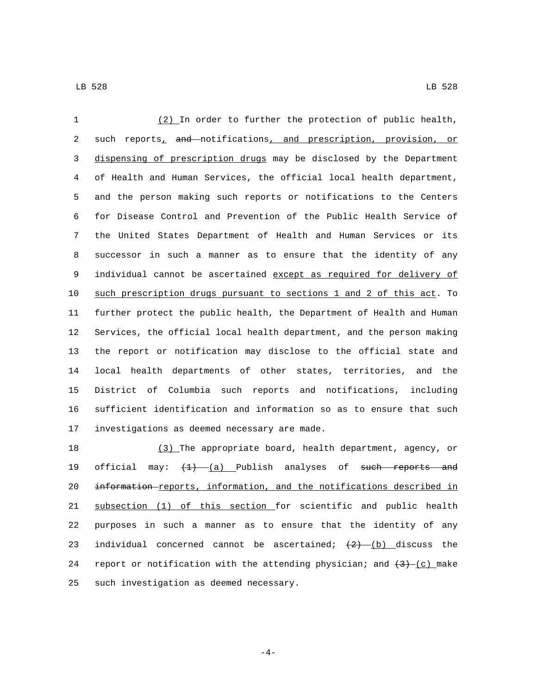(2) In order to further the protection of public health, 2 such reports<sub>1</sub> and notifications, and prescription, provision, or dispensing of prescription drugs may be disclosed by the Department of Health and Human Services, the official local health department, and the person making such reports or notifications to the Centers for Disease Control and Prevention of the Public Health Service of the United States Department of Health and Human Services or its successor in such a manner as to ensure that the identity of any 9 individual cannot be ascertained except as required for delivery of such prescription drugs pursuant to sections 1 and 2 of this act. To further protect the public health, the Department of Health and Human Services, the official local health department, and the person making the report or notification may disclose to the official state and local health departments of other states, territories, and the District of Columbia such reports and notifications, including sufficient identification and information so as to ensure that such 17 investigations as deemed necessary are made.

 (3) The appropriate board, health department, agency, or 19 official may:  $\left(\frac{1}{1}\right)$  (a) Publish analyses of such reports and information reports, information, and the notifications described in subsection (1) of this section for scientific and public health purposes in such a manner as to ensure that the identity of any 23 individual concerned cannot be ascertained;  $(2)$  (b) discuss the 24 report or notification with the attending physician; and  $(3)$  (c) make 25 such investigation as deemed necessary.

 $-4-$